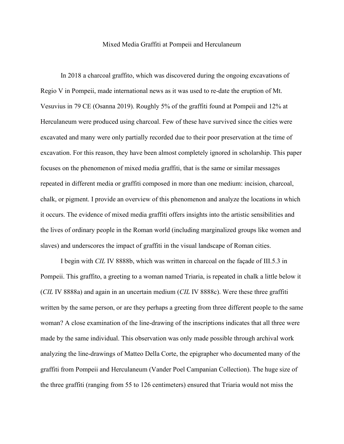## Mixed Media Graffiti at Pompeii and Herculaneum

In 2018 a charcoal graffito, which was discovered during the ongoing excavations of Regio V in Pompeii, made international news as it was used to re-date the eruption of Mt. Vesuvius in 79 CE (Osanna 2019). Roughly 5% of the graffiti found at Pompeii and 12% at Herculaneum were produced using charcoal. Few of these have survived since the cities were excavated and many were only partially recorded due to their poor preservation at the time of excavation. For this reason, they have been almost completely ignored in scholarship. This paper focuses on the phenomenon of mixed media graffiti, that is the same or similar messages repeated in different media or graffiti composed in more than one medium: incision, charcoal, chalk, or pigment. I provide an overview of this phenomenon and analyze the locations in which it occurs. The evidence of mixed media graffiti offers insights into the artistic sensibilities and the lives of ordinary people in the Roman world (including marginalized groups like women and slaves) and underscores the impact of graffiti in the visual landscape of Roman cities.

I begin with *CIL* IV 8888b, which was written in charcoal on the façade of III.5.3 in Pompeii. This graffito, a greeting to a woman named Triaria, is repeated in chalk a little below it (*CIL* IV 8888a) and again in an uncertain medium (*CIL* IV 8888c). Were these three graffiti written by the same person, or are they perhaps a greeting from three different people to the same woman? A close examination of the line-drawing of the inscriptions indicates that all three were made by the same individual. This observation was only made possible through archival work analyzing the line-drawings of Matteo Della Corte, the epigrapher who documented many of the graffiti from Pompeii and Herculaneum (Vander Poel Campanian Collection). The huge size of the three graffiti (ranging from 55 to 126 centimeters) ensured that Triaria would not miss the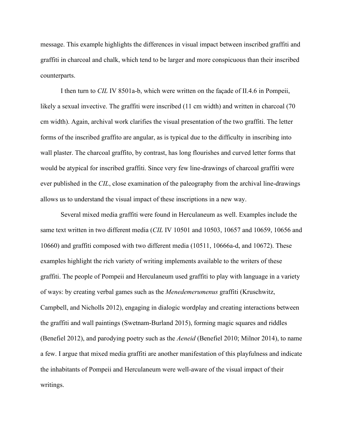message. This example highlights the differences in visual impact between inscribed graffiti and graffiti in charcoal and chalk, which tend to be larger and more conspicuous than their inscribed counterparts.

I then turn to *CIL* IV 8501a-b, which were written on the façade of II.4.6 in Pompeii, likely a sexual invective. The graffiti were inscribed (11 cm width) and written in charcoal (70 cm width). Again, archival work clarifies the visual presentation of the two graffiti. The letter forms of the inscribed graffito are angular, as is typical due to the difficulty in inscribing into wall plaster. The charcoal graffito, by contrast, has long flourishes and curved letter forms that would be atypical for inscribed graffiti. Since very few line-drawings of charcoal graffiti were ever published in the *CIL*, close examination of the paleography from the archival line-drawings allows us to understand the visual impact of these inscriptions in a new way.

Several mixed media graffiti were found in Herculaneum as well. Examples include the same text written in two different media (*CIL* IV 10501 and 10503, 10657 and 10659, 10656 and 10660) and graffiti composed with two different media (10511, 10666a-d, and 10672). These examples highlight the rich variety of writing implements available to the writers of these graffiti. The people of Pompeii and Herculaneum used graffiti to play with language in a variety of ways: by creating verbal games such as the *Menedemerumenus* graffiti (Kruschwitz, Campbell, and Nicholls 2012), engaging in dialogic wordplay and creating interactions between the graffiti and wall paintings (Swetnam-Burland 2015), forming magic squares and riddles (Benefiel 2012), and parodying poetry such as the *Aeneid* (Benefiel 2010; Milnor 2014), to name a few. I argue that mixed media graffiti are another manifestation of this playfulness and indicate the inhabitants of Pompeii and Herculaneum were well-aware of the visual impact of their writings.